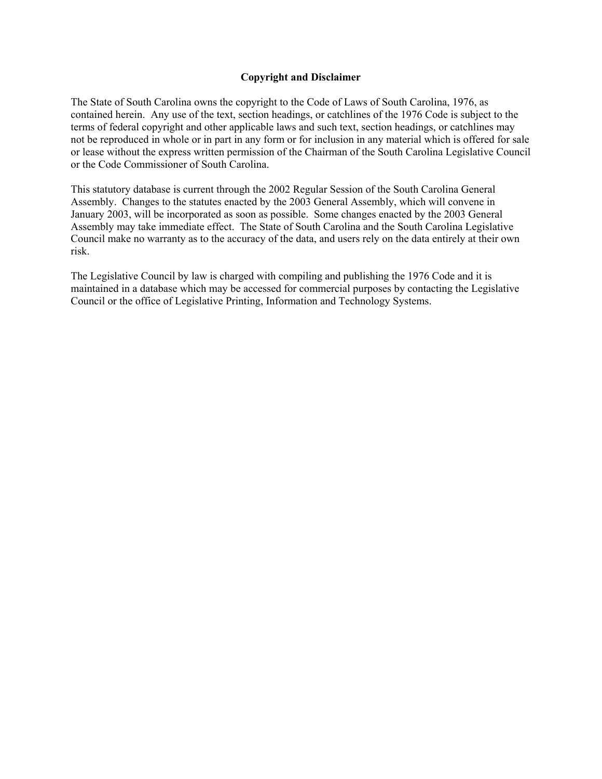## **Copyright and Disclaimer**

The State of South Carolina owns the copyright to the Code of Laws of South Carolina, 1976, as contained herein. Any use of the text, section headings, or catchlines of the 1976 Code is subject to the terms of federal copyright and other applicable laws and such text, section headings, or catchlines may not be reproduced in whole or in part in any form or for inclusion in any material which is offered for sale or lease without the express written permission of the Chairman of the South Carolina Legislative Council or the Code Commissioner of South Carolina.

This statutory database is current through the 2002 Regular Session of the South Carolina General Assembly. Changes to the statutes enacted by the 2003 General Assembly, which will convene in January 2003, will be incorporated as soon as possible. Some changes enacted by the 2003 General Assembly may take immediate effect. The State of South Carolina and the South Carolina Legislative Council make no warranty as to the accuracy of the data, and users rely on the data entirely at their own risk.

The Legislative Council by law is charged with compiling and publishing the 1976 Code and it is maintained in a database which may be accessed for commercial purposes by contacting the Legislative Council or the office of Legislative Printing, Information and Technology Systems.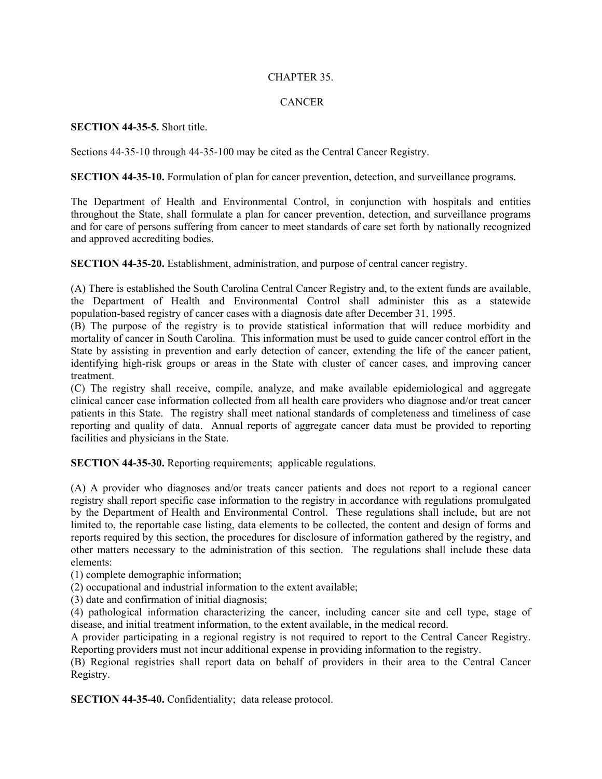## CHAPTER 35.

## CANCER

## **SECTION 44-35-5.** Short title.

Sections 44-35-10 through 44-35-100 may be cited as the Central Cancer Registry.

**SECTION 44-35-10.** Formulation of plan for cancer prevention, detection, and surveillance programs.

The Department of Health and Environmental Control, in conjunction with hospitals and entities throughout the State, shall formulate a plan for cancer prevention, detection, and surveillance programs and for care of persons suffering from cancer to meet standards of care set forth by nationally recognized and approved accrediting bodies.

**SECTION 44-35-20.** Establishment, administration, and purpose of central cancer registry.

(A) There is established the South Carolina Central Cancer Registry and, to the extent funds are available, the Department of Health and Environmental Control shall administer this as a statewide population-based registry of cancer cases with a diagnosis date after December 31, 1995.

(B) The purpose of the registry is to provide statistical information that will reduce morbidity and mortality of cancer in South Carolina. This information must be used to guide cancer control effort in the State by assisting in prevention and early detection of cancer, extending the life of the cancer patient, identifying high-risk groups or areas in the State with cluster of cancer cases, and improving cancer treatment.

(C) The registry shall receive, compile, analyze, and make available epidemiological and aggregate clinical cancer case information collected from all health care providers who diagnose and/or treat cancer patients in this State. The registry shall meet national standards of completeness and timeliness of case reporting and quality of data. Annual reports of aggregate cancer data must be provided to reporting facilities and physicians in the State.

**SECTION 44-35-30.** Reporting requirements; applicable regulations.

(A) A provider who diagnoses and/or treats cancer patients and does not report to a regional cancer registry shall report specific case information to the registry in accordance with regulations promulgated by the Department of Health and Environmental Control. These regulations shall include, but are not limited to, the reportable case listing, data elements to be collected, the content and design of forms and reports required by this section, the procedures for disclosure of information gathered by the registry, and other matters necessary to the administration of this section. The regulations shall include these data elements:

(1) complete demographic information;

(2) occupational and industrial information to the extent available;

(3) date and confirmation of initial diagnosis;

(4) pathological information characterizing the cancer, including cancer site and cell type, stage of disease, and initial treatment information, to the extent available, in the medical record.

A provider participating in a regional registry is not required to report to the Central Cancer Registry. Reporting providers must not incur additional expense in providing information to the registry.

(B) Regional registries shall report data on behalf of providers in their area to the Central Cancer Registry.

**SECTION 44-35-40.** Confidentiality; data release protocol.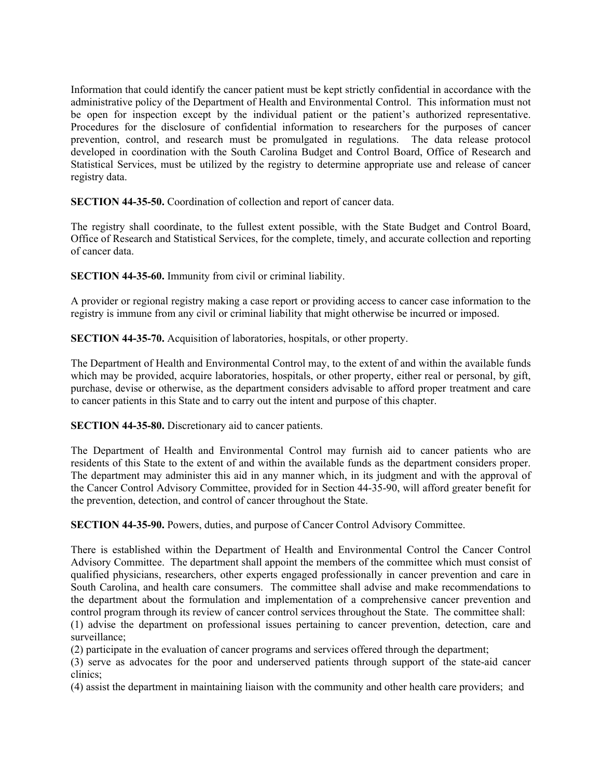Information that could identify the cancer patient must be kept strictly confidential in accordance with the administrative policy of the Department of Health and Environmental Control. This information must not be open for inspection except by the individual patient or the patient's authorized representative. Procedures for the disclosure of confidential information to researchers for the purposes of cancer prevention, control, and research must be promulgated in regulations. The data release protocol developed in coordination with the South Carolina Budget and Control Board, Office of Research and Statistical Services, must be utilized by the registry to determine appropriate use and release of cancer registry data.

**SECTION 44-35-50.** Coordination of collection and report of cancer data.

The registry shall coordinate, to the fullest extent possible, with the State Budget and Control Board, Office of Research and Statistical Services, for the complete, timely, and accurate collection and reporting of cancer data.

**SECTION 44-35-60.** Immunity from civil or criminal liability.

A provider or regional registry making a case report or providing access to cancer case information to the registry is immune from any civil or criminal liability that might otherwise be incurred or imposed.

**SECTION 44-35-70.** Acquisition of laboratories, hospitals, or other property.

The Department of Health and Environmental Control may, to the extent of and within the available funds which may be provided, acquire laboratories, hospitals, or other property, either real or personal, by gift, purchase, devise or otherwise, as the department considers advisable to afford proper treatment and care to cancer patients in this State and to carry out the intent and purpose of this chapter.

**SECTION 44-35-80.** Discretionary aid to cancer patients.

The Department of Health and Environmental Control may furnish aid to cancer patients who are residents of this State to the extent of and within the available funds as the department considers proper. The department may administer this aid in any manner which, in its judgment and with the approval of the Cancer Control Advisory Committee, provided for in Section 44-35-90, will afford greater benefit for the prevention, detection, and control of cancer throughout the State.

**SECTION 44-35-90.** Powers, duties, and purpose of Cancer Control Advisory Committee.

There is established within the Department of Health and Environmental Control the Cancer Control Advisory Committee. The department shall appoint the members of the committee which must consist of qualified physicians, researchers, other experts engaged professionally in cancer prevention and care in South Carolina, and health care consumers. The committee shall advise and make recommendations to the department about the formulation and implementation of a comprehensive cancer prevention and control program through its review of cancer control services throughout the State. The committee shall:

(1) advise the department on professional issues pertaining to cancer prevention, detection, care and surveillance;

(2) participate in the evaluation of cancer programs and services offered through the department;

(3) serve as advocates for the poor and underserved patients through support of the state-aid cancer clinics;

(4) assist the department in maintaining liaison with the community and other health care providers; and